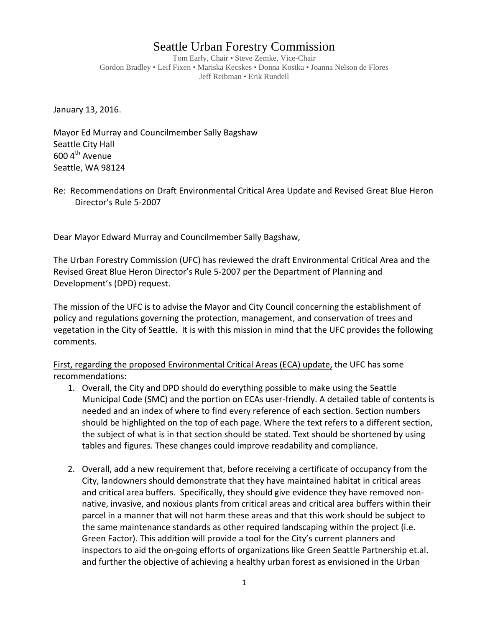## Seattle Urban Forestry Commission

Tom Early, Chair • Steve Zemke, Vice-Chair Gordon Bradley • Leif Fixen • Mariska Kecskes • Donna Kostka • Joanna Nelson de Flores Jeff Reibman • Erik Rundell

January 13, 2016.

Mayor Ed Murray and Councilmember Sally Bagshaw Seattle City Hall  $600$  4<sup>th</sup> Avenue Seattle, WA 98124

Dear Mayor Edward Murray and Councilmember Sally Bagshaw,

The Urban Forestry Commission (UFC) has reviewed the draft Environmental Critical Area and the Revised Great Blue Heron Director's Rule 5-2007 per the Department of Planning and Development's (DPD) request.

The mission of the UFC is to advise the Mayor and City Council concerning the establishment of policy and regulations governing the protection, management, and conservation of trees and vegetation in the City of Seattle. It is with this mission in mind that the UFC provides the following comments.

First, regarding the proposed Environmental Critical Areas (ECA) update, the UFC has some recommendations:

- 1. Overall, the City and DPD should do everything possible to make using the Seattle Municipal Code (SMC) and the portion on ECAs user-friendly. A detailed table of contents is needed and an index of where to find every reference of each section. Section numbers should be highlighted on the top of each page. Where the text refers to a different section, the subject of what is in that section should be stated. Text should be shortened by using tables and figures. These changes could improve readability and compliance.
- 2. Overall, add a new requirement that, before receiving a certificate of occupancy from the City, landowners should demonstrate that they have maintained habitat in critical areas and critical area buffers. Specifically, they should give evidence they have removed nonnative, invasive, and noxious plants from critical areas and critical area buffers within their parcel in a manner that will not harm these areas and that this work should be subject to the same maintenance standards as other required landscaping within the project (i.e. Green Factor). This addition will provide a tool for the City's current planners and inspectors to aid the on-going efforts of organizations like Green Seattle Partnership et.al. and further the objective of achieving a healthy urban forest as envisioned in the Urban

Re: Recommendations on Draft Environmental Critical Area Update and Revised Great Blue Heron Director's Rule 5-2007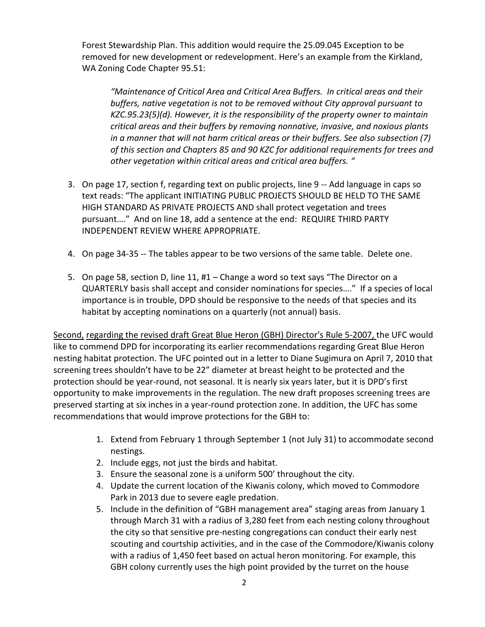Forest Stewardship Plan. This addition would require the 25.09.045 Exception to be removed for new development or redevelopment. Here's an example from the Kirkland, WA Zoning Code Chapter 95.51:

*"Maintenance of Critical Area and Critical Area Buffers. In critical areas and their buffers, native vegetation is not to be removed without City approval pursuant to KZC.95.23(5)(d). However, it is the responsibility of the property owner to maintain critical areas and their buffers by removing nonnative, invasive, and noxious plants in a manner that will not harm critical areas or their buffers. See also subsection (7) of this section and Chapters 85 and 90 KZC for additional requirements for trees and other vegetation within critical areas and critical area buffers. "*

- 3. On page 17, section f, regarding text on public projects, line 9 -- Add language in caps so text reads: "The applicant INITIATING PUBLIC PROJECTS SHOULD BE HELD TO THE SAME HIGH STANDARD AS PRIVATE PROJECTS AND shall protect vegetation and trees pursuant…." And on line 18, add a sentence at the end: REQUIRE THIRD PARTY INDEPENDENT REVIEW WHERE APPROPRIATE.
- 4. On page 34-35 -- The tables appear to be two versions of the same table. Delete one.
- 5. On page 58, section D, line 11, #1 Change a word so text says "The Director on a QUARTERLY basis shall accept and consider nominations for species…." If a species of local importance is in trouble, DPD should be responsive to the needs of that species and its habitat by accepting nominations on a quarterly (not annual) basis.

Second, regarding the revised draft Great Blue Heron (GBH) Director's Rule 5-2007, the UFC would like to commend DPD for incorporating its earlier recommendations regarding Great Blue Heron nesting habitat protection. The UFC pointed out in a letter to Diane Sugimura on April 7, 2010 that screening trees shouldn't have to be 22" diameter at breast height to be protected and the protection should be year-round, not seasonal. It is nearly six years later, but it is DPD's first opportunity to make improvements in the regulation. The new draft proposes screening trees are preserved starting at six inches in a year-round protection zone. In addition, the UFC has some recommendations that would improve protections for the GBH to:

- 1. Extend from February 1 through September 1 (not July 31) to accommodate second nestings.
- 2. Include eggs, not just the birds and habitat.
- 3. Ensure the seasonal zone is a uniform 500' throughout the city.
- 4. Update the current location of the Kiwanis colony, which moved to Commodore Park in 2013 due to severe eagle predation.
- 5. Include in the definition of "GBH management area" staging areas from January 1 through March 31 with a radius of 3,280 feet from each nesting colony throughout the city so that sensitive pre-nesting congregations can conduct their early nest scouting and courtship activities, and in the case of the Commodore/Kiwanis colony with a radius of 1,450 feet based on actual heron monitoring. For example, this GBH colony currently uses the high point provided by the turret on the house